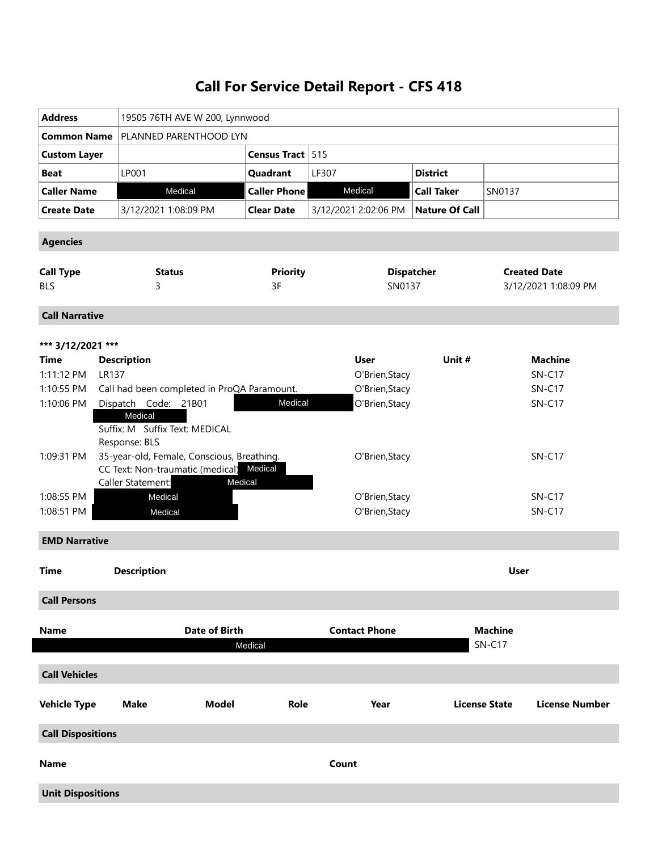## **Call For Service Detail Report - CFS 418**

| <b>Address</b>             |                                                                                                     |                     |                                 |                       |                      |                     |  |
|----------------------------|-----------------------------------------------------------------------------------------------------|---------------------|---------------------------------|-----------------------|----------------------|---------------------|--|
|                            | 19505 76TH AVE W 200, Lynnwood                                                                      |                     |                                 |                       |                      |                     |  |
| <b>Common Name</b>         | PLANNED PARENTHOOD LYN                                                                              |                     |                                 |                       |                      |                     |  |
| <b>Custom Layer</b>        |                                                                                                     | Census Tract 515    |                                 |                       |                      |                     |  |
| <b>Beat</b>                | LP001                                                                                               | Quadrant            | LF307                           | <b>District</b>       |                      |                     |  |
| <b>Caller Name</b>         | Medical                                                                                             | <b>Caller Phone</b> | Medical                         | <b>Call Taker</b>     | SN0137               |                     |  |
| <b>Create Date</b>         | 3/12/2021 1:08:09 PM                                                                                | <b>Clear Date</b>   | 3/12/2021 2:02:06 PM            | <b>Nature Of Call</b> |                      |                     |  |
| <b>Agencies</b>            |                                                                                                     |                     |                                 |                       |                      |                     |  |
| <b>Call Type</b>           | <b>Status</b>                                                                                       | <b>Priority</b>     |                                 | <b>Dispatcher</b>     |                      | <b>Created Date</b> |  |
| <b>BLS</b>                 | 3                                                                                                   | 3F                  | SN0137                          |                       | 3/12/2021 1:08:09 PM |                     |  |
| <b>Call Narrative</b>      |                                                                                                     |                     |                                 |                       |                      |                     |  |
| *** 3/12/2021 ***          |                                                                                                     |                     |                                 |                       |                      |                     |  |
| Time                       | <b>Description</b>                                                                                  |                     | <b>User</b>                     | Unit #                |                      | <b>Machine</b>      |  |
| 1:11:12 PM<br><b>LR137</b> |                                                                                                     |                     | O'Brien, Stacy                  |                       |                      | $SN-C17$            |  |
| 1:10:55 PM                 | Call had been completed in ProQA Paramount.                                                         |                     | O'Brien, Stacy                  |                       |                      | <b>SN-C17</b>       |  |
| 1:10:06 PM                 | Dispatch Code: 21B01                                                                                | Medical             | O'Brien, Stacy                  |                       |                      | $SN-C17$            |  |
|                            | Medical<br>Suffix: M Suffix Text: MEDICAL<br>Response: BLS                                          |                     |                                 |                       |                      |                     |  |
| 1:09:31 PM                 | 35-year-old, Female, Conscious, Breathing.<br>CC Text: Non-traumatic (medical)<br>Caller Statement: | Medical<br>Medical  |                                 | O'Brien, Stacy        |                      | <b>SN-C17</b>       |  |
| 1:08:55 PM                 | Medical                                                                                             |                     | O'Brien, Stacy                  |                       |                      | <b>SN-C17</b>       |  |
| 1:08:51 PM                 | Medical                                                                                             |                     | O'Brien, Stacy<br><b>SN-C17</b> |                       |                      |                     |  |
| <b>EMD Narrative</b>       |                                                                                                     |                     |                                 |                       |                      |                     |  |
| <b>Time</b>                | <b>Description</b>                                                                                  |                     |                                 |                       | <b>User</b>          |                     |  |
| <b>Call Persons</b>        |                                                                                                     |                     |                                 |                       |                      |                     |  |
| <b>Name</b>                | <b>Date of Birth</b>                                                                                |                     | <b>Contact Phone</b>            |                       | <b>Machine</b>       |                     |  |
|                            |                                                                                                     | Medical             |                                 |                       | <b>SN-C17</b>        |                     |  |
| <b>Call Vehicles</b>       |                                                                                                     |                     |                                 |                       |                      |                     |  |
| <b>Vehicle Type</b>        | <b>Model</b><br><b>Make</b>                                                                         | Role                | Year                            |                       | <b>License State</b> | License Number      |  |
| <b>Call Dispositions</b>   |                                                                                                     |                     |                                 |                       |                      |                     |  |
| <b>Name</b>                |                                                                                                     |                     | Count                           |                       |                      |                     |  |
| <b>Unit Dispositions</b>   |                                                                                                     |                     |                                 |                       |                      |                     |  |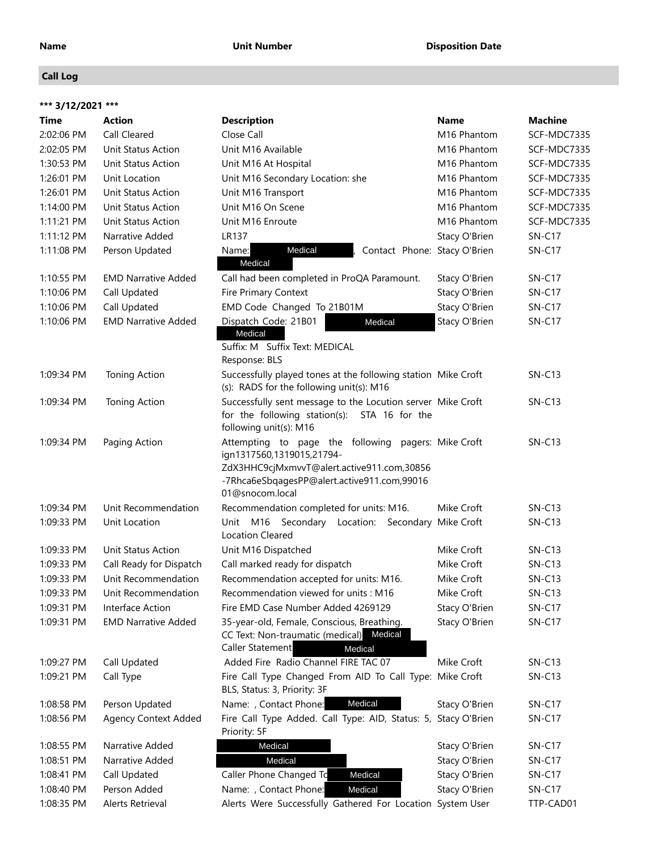### **Call Log**

| *** 3/12/2021 *** |                             |                                                                                                                                                                                                  |               |                |
|-------------------|-----------------------------|--------------------------------------------------------------------------------------------------------------------------------------------------------------------------------------------------|---------------|----------------|
| Time              | <b>Action</b>               | <b>Description</b>                                                                                                                                                                               | Name          | <b>Machine</b> |
| 2:02:06 PM        | Call Cleared                | Close Call                                                                                                                                                                                       | M16 Phantom   | SCF-MDC7335    |
| 2:02:05 PM        | Unit Status Action          | Unit M16 Available                                                                                                                                                                               | M16 Phantom   | SCF-MDC7335    |
| 1:30:53 PM        | Unit Status Action          | Unit M16 At Hospital                                                                                                                                                                             | M16 Phantom   | SCF-MDC7335    |
| 1:26:01 PM        | Unit Location               | Unit M16 Secondary Location: she                                                                                                                                                                 | M16 Phantom   | SCF-MDC7335    |
| 1:26:01 PM        | Unit Status Action          | Unit M16 Transport                                                                                                                                                                               | M16 Phantom   | SCF-MDC7335    |
| 1:14:00 PM        | Unit Status Action          | Unit M16 On Scene                                                                                                                                                                                | M16 Phantom   | SCF-MDC7335    |
| 1:11:21 PM        | Unit Status Action          | Unit M16 Enroute                                                                                                                                                                                 | M16 Phantom   | SCF-MDC7335    |
| 1:11:12 PM        | Narrative Added             | <b>LR137</b>                                                                                                                                                                                     | Stacy O'Brien | <b>SN-C17</b>  |
| 1:11:08 PM        | Person Updated              | Medical<br>Name:<br>Contact Phone: Stacy O'Brien<br>Medical                                                                                                                                      |               | <b>SN-C17</b>  |
| 1:10:55 PM        | <b>EMD Narrative Added</b>  | Call had been completed in ProQA Paramount.                                                                                                                                                      | Stacy O'Brien | <b>SN-C17</b>  |
| 1:10:06 PM        | Call Updated                | Fire Primary Context                                                                                                                                                                             | Stacy O'Brien | $SN-C17$       |
| 1:10:06 PM        | Call Updated                | EMD Code Changed To 21B01M                                                                                                                                                                       | Stacy O'Brien | <b>SN-C17</b>  |
| 1:10:06 PM        | <b>EMD Narrative Added</b>  | Dispatch Code: 21B01<br>Medical<br>Medical                                                                                                                                                       | Stacy O'Brien | <b>SN-C17</b>  |
|                   |                             | Suffix: M Suffix Text: MEDICAL<br>Response: BLS                                                                                                                                                  |               |                |
| 1:09:34 PM        | Toning Action               | Successfully played tones at the following station Mike Croft<br>(s): RADS for the following unit(s): M16                                                                                        |               | $SN-C13$       |
| 1:09:34 PM        | <b>Toning Action</b>        | Successfully sent message to the Locution server Mike Croft<br>for the following station(s): STA 16 for the<br>following unit(s): M16                                                            |               | $SN-C13$       |
| 1:09:34 PM        | Paging Action               | Attempting to page the following pagers: Mike Croft<br>ign1317560,1319015,21794-<br>ZdX3HHC9cjMxmvvT@alert.active911.com,30856<br>-7Rhca6eSbqagesPP@alert.active911.com,99016<br>01@snocom.local |               | $SN-C13$       |
| 1:09:34 PM        | Unit Recommendation         | Recommendation completed for units: M16.                                                                                                                                                         | Mike Croft    | $SN-C13$       |
| 1:09:33 PM        | Unit Location               | Unit M16 Secondary Location: Secondary Mike Croft<br><b>Location Cleared</b>                                                                                                                     |               | $SN-C13$       |
| 1:09:33 PM        | <b>Unit Status Action</b>   | Unit M16 Dispatched                                                                                                                                                                              | Mike Croft    | $SN-C13$       |
| 1:09:33 PM        | Call Ready for Dispatch     | Call marked ready for dispatch                                                                                                                                                                   | Mike Croft    | $SN-C13$       |
| 1:09:33 PM        | Unit Recommendation         | Recommendation accepted for units: M16.                                                                                                                                                          | Mike Croft    | $SN-C13$       |
| 1:09:33 PM        | Unit Recommendation         | Recommendation viewed for units: M16                                                                                                                                                             | Mike Croft    | $SN-C13$       |
| 1:09:31 PM        | Interface Action            | Fire EMD Case Number Added 4269129                                                                                                                                                               | Stacy O'Brien | $SN-C17$       |
| 1:09:31 PM        | <b>EMD Narrative Added</b>  | 35-year-old, Female, Conscious, Breathing.<br>CC Text: Non-traumatic (medical) Medical<br><b>Caller Statement</b><br>Medical                                                                     | Stacy O'Brien | <b>SN-C17</b>  |
| 1:09:27 PM        | Call Updated                | Added Fire Radio Channel FIRE TAC 07                                                                                                                                                             | Mike Croft    | $SN-C13$       |
| 1:09:21 PM        | Call Type                   | Fire Call Type Changed From AID To Call Type: Mike Croft<br>BLS, Status: 3, Priority: 3F                                                                                                         |               | $SN-C13$       |
| 1:08:58 PM        | Person Updated              | Name: , Contact Phone:<br>Medical                                                                                                                                                                | Stacy O'Brien | <b>SN-C17</b>  |
| 1:08:56 PM        | <b>Agency Context Added</b> | Fire Call Type Added. Call Type: AID, Status: 5, Stacy O'Brien<br>Priority: 5F                                                                                                                   |               | <b>SN-C17</b>  |
| 1:08:55 PM        | Narrative Added             | Medical                                                                                                                                                                                          | Stacy O'Brien | <b>SN-C17</b>  |
| 1:08:51 PM        | Narrative Added             | Medical                                                                                                                                                                                          | Stacy O'Brien | $SN-C17$       |
| 1:08:41 PM        | Call Updated                | Caller Phone Changed To<br>Medical                                                                                                                                                               | Stacy O'Brien | $SN-C17$       |
| 1:08:40 PM        | Person Added                | Name: , Contact Phone:<br>Medical                                                                                                                                                                | Stacy O'Brien | $SN-C17$       |
| 1:08:35 PM        | Alerts Retrieval            | Alerts Were Successfully Gathered For Location System User                                                                                                                                       |               | TTP-CAD01      |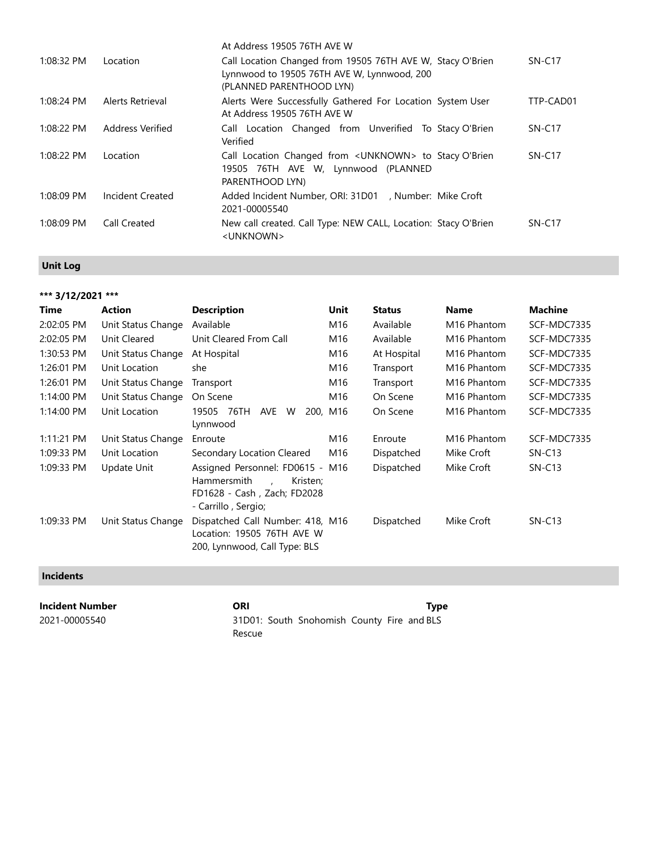| 1:08:32 PM   | Location         | At Address 19505 76TH AVE W<br>Call Location Changed from 19505 76TH AVE W, Stacy O'Brien<br>Lynnwood to 19505 76TH AVE W, Lynnwood, 200 | $SN-C17$  |
|--------------|------------------|------------------------------------------------------------------------------------------------------------------------------------------|-----------|
| 1:08:24 PM   | Alerts Retrieval | (PLANNED PARENTHOOD LYN)<br>Alerts Were Successfully Gathered For Location System User                                                   | TTP-CAD01 |
|              | Address Verified | At Address 19505 76TH AVE W                                                                                                              |           |
| 1:08:22 PM   |                  | Call Location Changed from Unverified To Stacy O'Brien<br>Verified                                                                       | $SN-C17$  |
| 1:08:22 PM   | Location         | Call Location Changed from < UNKNOWN> to Stacy O'Brien<br>19505 76TH AVE W, Lynnwood (PLANNED<br>PARENTHOOD LYN)                         | $SN-C17$  |
| $1:08:09$ PM | Incident Created | Added Incident Number, ORI: 31D01 , Number: Mike Croft<br>2021-00005540                                                                  |           |
| 1:08:09 PM   | Call Created     | New call created. Call Type: NEW CALL, Location: Stacy O'Brien<br><unknown></unknown>                                                    | $SN-C17$  |

### **Unit Log**

### **\*\*\* 3/12/2021 \*\*\***

| <b>Time</b>  | <b>Action</b>      | <b>Description</b>               | Unit     | <b>Status</b> | <b>Name</b>             | <b>Machine</b> |
|--------------|--------------------|----------------------------------|----------|---------------|-------------------------|----------------|
| 2:02:05 PM   | Unit Status Change | Available                        | M16      | Available     | M <sub>16</sub> Phantom | SCF-MDC7335    |
| 2:02:05 PM   | Unit Cleared       | Unit Cleared From Call           | M16      | Available     | M <sub>16</sub> Phantom | SCF-MDC7335    |
| 1:30:53 PM   | Unit Status Change | At Hospital                      | M16      | At Hospital   | M <sub>16</sub> Phantom | SCF-MDC7335    |
| 1:26:01 PM   | Unit Location      | she                              | M16      | Transport     | M <sub>16</sub> Phantom | SCF-MDC7335    |
| 1:26:01 PM   | Unit Status Change | Transport                        | M16      | Transport     | M <sub>16</sub> Phantom | SCF-MDC7335    |
| 1:14:00 PM   | Unit Status Change | On Scene                         | M16      | On Scene      | M <sub>16</sub> Phantom | SCF-MDC7335    |
| 1:14:00 PM   | Unit Location      | 19505<br>76TH<br>AVE<br>W        | 200, M16 | On Scene      | M <sub>16</sub> Phantom | SCF-MDC7335    |
|              |                    | Lynnwood                         |          |               |                         |                |
| $1:11:21$ PM | Unit Status Change | Enroute                          | M16      | Enroute       | M <sub>16</sub> Phantom | SCF-MDC7335    |
| 1:09:33 PM   | Unit Location      | Secondary Location Cleared       | M16      | Dispatched    | Mike Croft              | $SN-C13$       |
| 1:09:33 PM   | Update Unit        | Assigned Personnel: FD0615 - M16 |          | Dispatched    | Mike Croft              | $SN-C13$       |
|              |                    | <b>Hammersmith</b><br>Kristen;   |          |               |                         |                |
|              |                    | FD1628 - Cash, Zach; FD2028      |          |               |                         |                |
|              |                    | - Carrillo , Sergio;             |          |               |                         |                |
| 1:09:33 PM   | Unit Status Change | Dispatched Call Number: 418, M16 |          | Dispatched    | Mike Croft              | $SN-C13$       |
|              |                    | Location: 19505 76TH AVE W       |          |               |                         |                |
|              |                    | 200, Lynnwood, Call Type: BLS    |          |               |                         |                |

### **Incidents**

**Incident Number CRI CRI** CRI **Type** 2021-00005540 31D01: South Snohomish County Fire and BLSRescue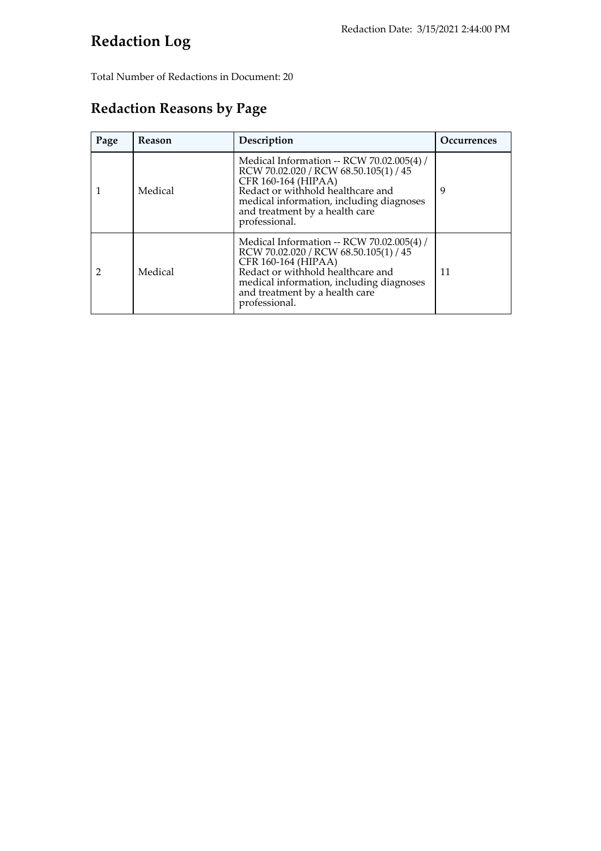## **Redaction Log**

Total Number of Redactions in Document: 20

### **Redaction Reasons by Page**

| Page | <b>Reason</b> | Description                                                                                                                                                                                                                                   | Occurrences |
|------|---------------|-----------------------------------------------------------------------------------------------------------------------------------------------------------------------------------------------------------------------------------------------|-------------|
|      | Medical       | Medical Information -- RCW 70.02.005(4) /<br>RCW 70.02.020 / RCW 68.50.105(1) / 45<br>CFR 160-164 (HIPAA)<br>Redact or withhold healthcare and<br>medical information, including diagnoses<br>and treatment by a health care<br>professional. | 9           |
|      | Medical       | Medical Information -- RCW 70.02.005(4) /<br>RCW 70.02.020 / RCW 68.50.105(1) / 45<br>CFR 160-164 (HIPAA)<br>Redact or withhold healthcare and<br>medical information, including diagnoses<br>and treatment by a health care<br>professional. | 11          |